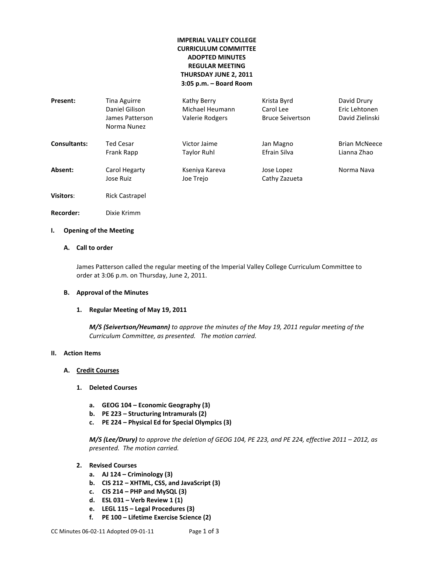# **IMPERIAL VALLEY COLLEGE CURRICULUM COMMITTEE ADOPTED MINUTES REGULAR MEETING THURSDAY JUNE 2, 2011 3:05 p.m. – Board Room**

| Present:         | Tina Aguirre<br>Daniel Gilison<br>James Patterson<br>Norma Nunez | Kathy Berry<br>Michael Heumann<br>Valerie Rodgers | Krista Byrd<br>Carol Lee<br><b>Bruce Seivertson</b> | David Drury<br>Eric Lehtonen<br>David Zielinski |
|------------------|------------------------------------------------------------------|---------------------------------------------------|-----------------------------------------------------|-------------------------------------------------|
| Consultants:     | Ted Cesar                                                        | Victor Jaime                                      | Jan Magno                                           | <b>Brian McNeece</b>                            |
|                  | Frank Rapp                                                       | Taylor Ruhl                                       | Efrain Silva                                        | Lianna Zhao                                     |
| Absent:          | Carol Hegarty                                                    | Kseniya Kareva                                    | Jose Lopez                                          | Norma Nava                                      |
|                  | Jose Ruiz                                                        | Joe Trejo                                         | Cathy Zazueta                                       |                                                 |
| <b>Visitors:</b> | <b>Rick Castrapel</b>                                            |                                                   |                                                     |                                                 |
| <b>Recorder:</b> | Dixie Krimm                                                      |                                                   |                                                     |                                                 |

## **I. Opening of the Meeting**

## **A. Call to order**

James Patterson called the regular meeting of the Imperial Valley College Curriculum Committee to order at 3:06 p.m. on Thursday, June 2, 2011.

#### **B. Approval of the Minutes**

#### **1. Regular Meeting of May 19, 2011**

*M/S (Seivertson/Heumann) to approve the minutes of the May 19, 2011 regular meeting of the Curriculum Committee, as presented. The motion carried.*

#### **II. Action Items**

### **A. Credit Courses**

- **1. Deleted Courses**
	- **a. GEOG 104 – Economic Geography (3)**
	- **b. PE 223 – Structuring Intramurals (2)**
	- **c. PE 224 – Physical Ed for Special Olympics (3)**

*M/S (Lee/Drury) to approve the deletion of GEOG 104, PE 223, and PE 224, effective 2011 – 2012, as presented. The motion carried.*

- **2. Revised Courses**
	- **a. AJ 124 – Criminology (3)**
	- **b. CIS 212 – XHTML, CSS, and JavaScript (3)**
	- **c. CIS 214 – PHP and MySQL (3)**
	- **d. ESL 031 – Verb Review 1 (1)**
	- **e. LEGL 115 – Legal Procedures (3)**
	- **f. PE 100 – Lifetime Exercise Science (2)**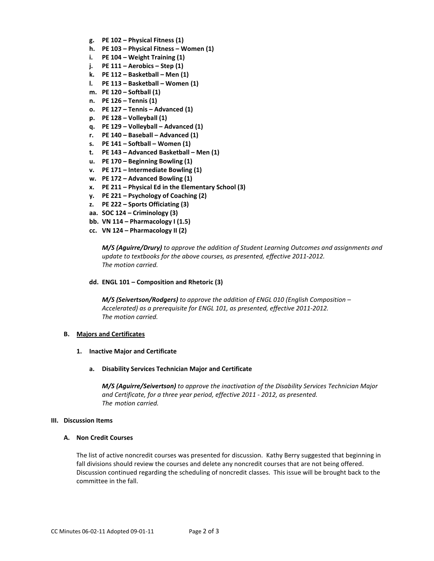- **g. PE 102 – Physical Fitness (1)**
- **h. PE 103 – Physical Fitness – Women (1)**
- **i. PE 104 – Weight Training (1)**
- **j. PE 111 – Aerobics – Step (1)**
- **k. PE 112 – Basketball – Men (1)**
- **l. PE 113 – Basketball – Women (1)**
- **m. PE 120 – Softball (1)**
- **n. PE 126 – Tennis (1)**
- **o. PE 127 – Tennis – Advanced (1)**
- **p. PE 128 – Volleyball (1)**
- **q. PE 129 – Volleyball – Advanced (1)**
- **r. PE 140 – Baseball – Advanced (1)**
- **s. PE 141 – Softball – Women (1)**
- **t. PE 143 – Advanced Basketball – Men (1)**
- **u. PE 170 – Beginning Bowling (1)**
- **v. PE 171 – Intermediate Bowling (1)**
- **w. PE 172 – Advanced Bowling (1)**
- **x. PE 211 – Physical Ed in the Elementary School (3)**
- **y. PE 221 – Psychology of Coaching (2)**
- **z. PE 222 – Sports Officiating (3)**
- **aa. SOC 124 – Criminology (3)**
- **bb. VN 114 – Pharmacology I (1.5)**
- **cc. VN 124 – Pharmacology II (2)**

*M/S (Aguirre/Drury) to approve the addition of Student Learning Outcomes and assignments and update to textbooks for the above courses, as presented, effective 2011-2012. The motion carried.*

#### **dd. ENGL 101 – Composition and Rhetoric (3)**

*M/S (Seivertson/Rodgers) to approve the addition of ENGL 010 (English Composition – Accelerated) as a prerequisite for ENGL 101, as presented, effective 2011-2012. The motion carried.*

#### **B. Majors and Certificates**

#### **1. Inactive Major and Certificate**

**a. Disability Services Technician Major and Certificate**

*M/S (Aguirre/Seivertson) to approve the inactivation of the Disability Services Technician Major and Certificate, for a three year period, effective 2011 - 2012, as presented. The motion carried.*

#### **III. Discussion Items**

#### **A. Non Credit Courses**

The list of active noncredit courses was presented for discussion. Kathy Berry suggested that beginning in fall divisions should review the courses and delete any noncredit courses that are not being offered. Discussion continued regarding the scheduling of noncredit classes. This issue will be brought back to the committee in the fall.